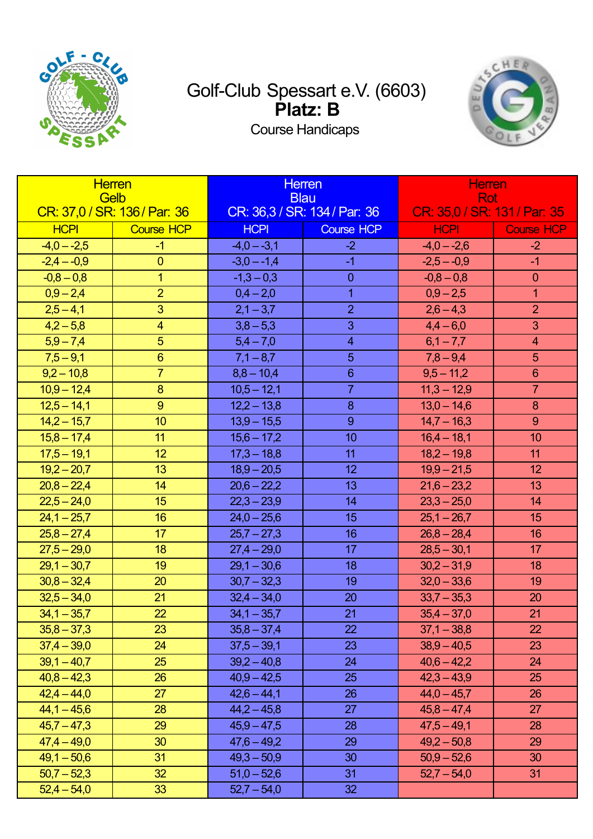

## Golf-Club Spessart e.V. (6603) **Platz: B**



Course Handicaps

| <b>Herren</b><br><b>Gelb</b><br>CR: 37,0 / SR: 136 / Par: 36 |  | Herren<br><b>Blau</b><br>CR: 36,3 / SR: 134 / Par: 36 |                   | <b>Herren</b><br><b>Rot</b><br>CR: 35,0 / SR: 131 / Par: 35 |                   |
|--------------------------------------------------------------|--|-------------------------------------------------------|-------------------|-------------------------------------------------------------|-------------------|
| <b>HCPI</b><br><b>Course HCP</b>                             |  | <b>HCPI</b>                                           | <b>Course HCP</b> | <b>HCPI</b>                                                 | <b>Course HCP</b> |
| $-4,0 - -2,5$<br>$-1$                                        |  | $-4,0 - -3,1$                                         | $-2$              | $-4,0 - -2,6$                                               | $-2$              |
| $-2,4 - -0,9$<br>$\overline{0}$                              |  | $-3,0 - -1,4$                                         | $-1$              | $-2,5 - -0,9$                                               | $-1$              |
| $-0,8 - 0,8$<br>1                                            |  | $-1,3 - 0,3$                                          | $\overline{0}$    | $-0,8 - 0,8$                                                | $\overline{0}$    |
| $0,9 - 2,4$<br>$\overline{2}$                                |  | $0,4 - 2,0$                                           | 1                 | $0,9 - 2,5$                                                 | 1                 |
| $2,5 - 4,1$<br>$\mathbf{3}$                                  |  | $2,1 - 3,7$                                           | $\overline{2}$    | $2,6 - 4,3$                                                 | $\overline{2}$    |
| $4,2-5,8$<br>$\overline{4}$                                  |  | $3,8 - 5,3$                                           | 3                 | $4,4 - 6,0$                                                 | 3                 |
| 5<br>$5,9 - 7,4$                                             |  | $5,4 - 7,0$                                           | $\overline{4}$    | $6,1 - 7,7$                                                 | $\overline{4}$    |
| $7,5 - 9,1$<br>$6\phantom{1}6$                               |  | $7,1 - 8,7$                                           | 5                 | $7,8 - 9,4$                                                 | 5                 |
| $\overline{7}$<br>$9,2 - 10,8$                               |  | $8,8 - 10,4$                                          | $6\phantom{1}6$   | $9,5 - 11,2$                                                | $6\phantom{1}6$   |
| 8<br>$10,9 - 12,4$                                           |  | $10,5 - 12,1$                                         | $\overline{7}$    | $11,3 - 12,9$                                               | $\overline{7}$    |
| 9<br>$12,5 - 14,1$                                           |  | $12,2 - 13,8$                                         | 8                 | $13,0 - 14,6$                                               | 8                 |
| $14,2 - 15,7$<br>10 <sup>°</sup>                             |  | $13,9 - 15,5$                                         | 9                 | $14,7 - 16,3$                                               | 9                 |
| $15,8 - 17,4$<br>11                                          |  | $15,6 - 17,2$                                         | 10                | $16,4 - 18,1$                                               | 10 <sup>°</sup>   |
| $17,5 - 19,1$<br>12                                          |  | $17,3 - 18,8$                                         | 11                | $18,2 - 19,8$                                               | 11                |
| $19,2 - 20,7$<br>13                                          |  | $18,9 - 20,5$                                         | 12                | $19,9 - 21,5$                                               | 12                |
| 14<br>$20,8 - 22,4$                                          |  | $20,6 - 22,2$                                         | 13                | $21,6 - 23,2$                                               | 13                |
| 15<br>$22,5 - 24,0$                                          |  | $22,3 - 23,9$                                         | 14                | $23,3 - 25,0$                                               | 14                |
| 16<br>$24,1 - 25,7$                                          |  | $24,0 - 25,6$                                         | 15                | $25,1 - 26,7$                                               | 15                |
| $25,8 - 27,4$<br>17                                          |  | $25,7 - 27,3$                                         | 16                | $26,8 - 28,4$                                               | 16                |
| 18<br>$27,5 - 29,0$                                          |  | $27,4 - 29,0$                                         | 17                | $28,5 - 30,1$                                               | 17                |
| 19<br>$29,1 - 30,7$                                          |  | $29,1 - 30,6$                                         | 18                | $30,2 - 31,9$                                               | 18                |
| $30,8 - 32,4$<br>20                                          |  | $30,7 - 32,3$                                         | 19                | $32,0 - 33,6$                                               | 19                |
| 21<br>$32,5 - 34,0$                                          |  | $32,4 - 34,0$                                         | 20                | $33,7 - 35,3$                                               | 20                |
| 22<br>$34,1 - 35,7$                                          |  | $34,1 - 35,7$                                         | 21                | $35,4 - 37,0$                                               | 21                |
| 23<br>$35,8 - 37,3$                                          |  | $35,8 - 37,4$                                         | 22                | $37,1 - 38,8$                                               | 22                |
| $37,4 - 39,0$<br>24                                          |  | $37,5 - 39,1$                                         | 23                | $38,9 - 40,5$                                               | 23                |
| $39,1 - 40,7$<br>25                                          |  | $39,2 - 40,8$                                         | 24                | $40,6 - 42,2$                                               | 24                |
| $40,8 - 42,3$<br>26                                          |  | $40,9 - 42,5$                                         | 25                | $42,3 - 43,9$                                               | 25                |
| $42,4 - 44,0$<br>27                                          |  | $42,6 - 44,1$                                         | 26                | $44,0 - 45,7$                                               | 26                |
| 28<br>$44,1 - 45,6$                                          |  | $44,2 - 45,8$                                         | 27                | $45,8 - 47,4$                                               | 27                |
| 29<br>$45,7 - 47,3$                                          |  | $45,9 - 47,5$                                         | 28                | $47,5 - 49,1$                                               | 28                |
| 30<br>$47,4 - 49,0$<br>31                                    |  | $47,6 - 49,2$                                         | 29                | $49,2 - 50,8$<br>$50,9 - 52,6$                              | 29<br>30          |
| $49,1 - 50,6$<br>32<br>$50,7 - 52,3$                         |  | $49,3 - 50,9$<br>$51,0 - 52,6$                        | 30<br>31          | $52,7 - 54,0$                                               | 31                |
| 33<br>$52,4 - 54,0$                                          |  | $52,7 - 54,0$                                         | 32                |                                                             |                   |